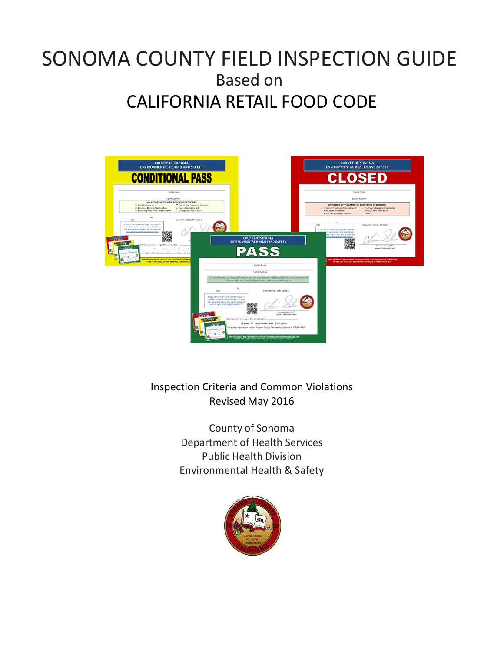# SONOMA COUNTY FIELD INSPECTION GUIDE Based on CALIFORNIA RETAIL FOOD CODE



 Inspection Criteria and Common Violations Revised May 2016

> County of Sonoma Department of Health Services Public Health Division Environmental Health & Safety

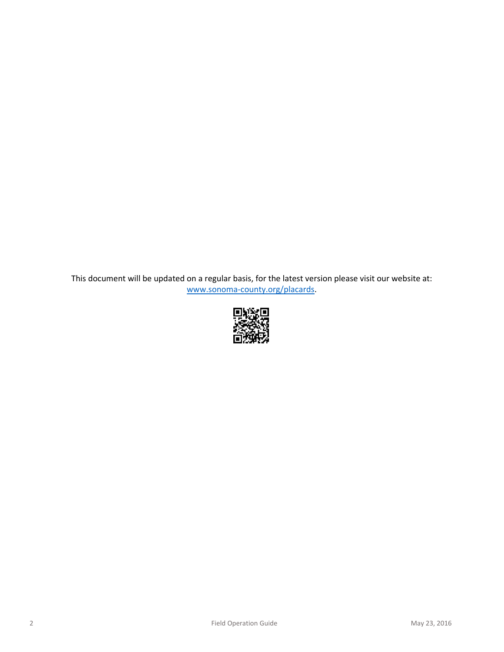This document will be updated on a regular basis, for the latest version please visit our website at: www.sonoma‐county.org/placards.

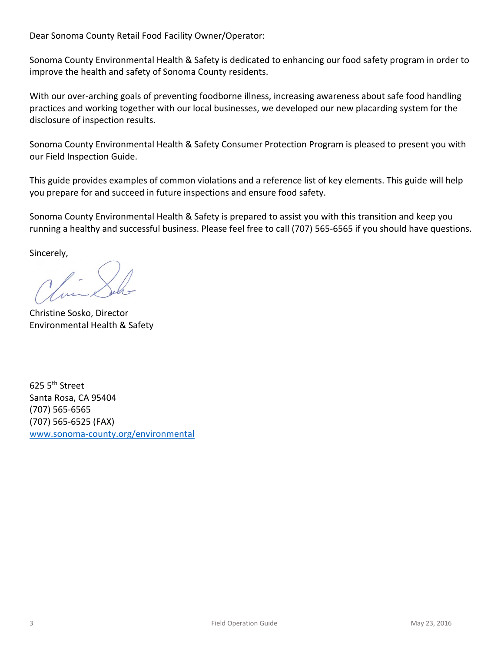Dear Sonoma County Retail Food Facility Owner/Operator:

 Sonoma County Environmental Health & Safety is dedicated to enhancing our food safety program in order to improve the health and safety of Sonoma County residents.

With our over-arching goals of preventing foodborne illness, increasing awareness about safe food handling practices and working together with our local businesses, we developed our new placarding system for the disclosure of inspection results.

 Sonoma County Environmental Health & Safety Consumer Protection Program is pleased to present you with our Field Inspection Guide.

 This guide provides examples of common violations and a reference list of key elements. This guide will help you prepare for and succeed in future inspections and ensure food safety.

 Sonoma County Environmental Health & Safety is prepared to assist you with this transition and keep you running a healthy and successful business. Please feel free to call (707) 565‐6565 if you should have questions.

Sincerely,

 Christine Sosko, Director Environmental Health & Safety

625  $5^{\text{th}}$  Street Santa Rosa, CA 95404 (707) 565‐6565 (707) 565‐6525 (FAX) www.sonoma‐county.org/environmental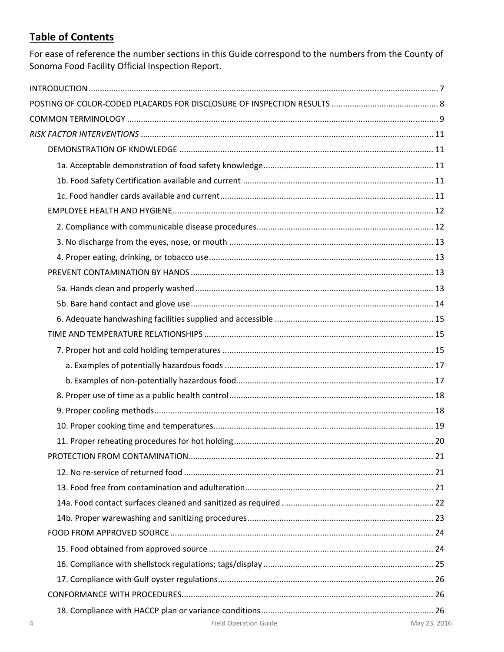### **Table of Contents**

For ease of reference the number sections in this Guide correspond to the numbers from the County of Sonoma Food Facility Official Inspection Report.

| <b>Field Operation Guide</b> | May 23, 201 |
|------------------------------|-------------|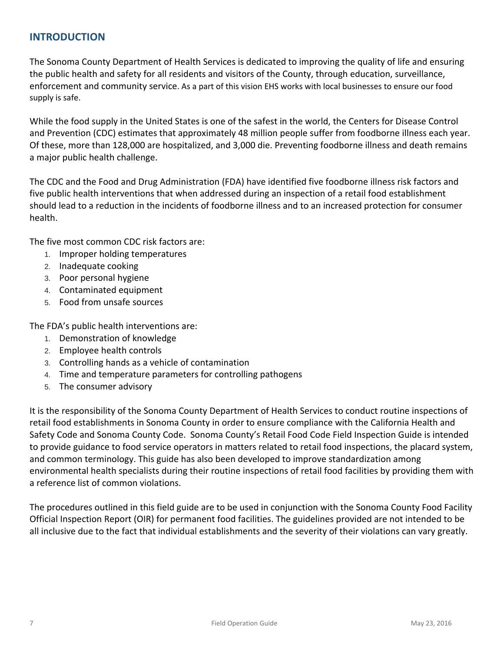### **INTRODUCTION**

 The Sonoma County Department of Health Services is dedicated to improving the quality of life and ensuring the public health and safety for all residents and visitors of the County, through education, surveillance, enforcement and community service. As a part of this vision EHS works with local businesses to ensure our food supply is safe.

 While the food supply in the United States is one of the safest in the world, the Centers for Disease Control and Prevention (CDC) estimates that approximately 48 million people suffer from foodborne illness each year. Of these, more than 128,000 are hospitalized, and 3,000 die. Preventing foodborne illness and death remains a major public health challenge.

 The CDC and the Food and Drug Administration (FDA) have identified five foodborne illness risk factors and five public health interventions that when addressed during an inspection of a retail food establishment should lead to a reduction in the incidents of foodborne illness and to an increased protection for consumer health.

The five most common CDC risk factors are:

- 1. Improper holding temperatures
- 2. Inadequate cooking
- 3. Poor personal hygiene
- 4. Contaminated equipment
- 5. Food from unsafe sources

The FDA's public health interventions are:

- 1. Demonstration of knowledge
- 2. Employee health controls
- 3. Controlling hands as a vehicle of contamination
- 4. Time and temperature parameters for controlling pathogens
- 5. The consumer advisory

 It is the responsibility of the Sonoma County Department of Health Services to conduct routine inspections of retail food establishments in Sonoma County in order to ensure compliance with the California Health and Safety Code and Sonoma County Code. Sonoma County's Retail Food Code Field Inspection Guide is intended to provide guidance to food service operators in matters related to retail food inspections, the placard system, and common terminology. This guide has also been developed to improve standardization among environmental health specialists during their routine inspections of retail food facilities by providing them with a reference list of common violations.

 The procedures outlined in this field guide are to be used in conjunction with the Sonoma County Food Facility Official Inspection Report (OIR) for permanent food facilities. The guidelines provided are not intended to be all inclusive due to the fact that individual establishments and the severity of their violations can vary greatly.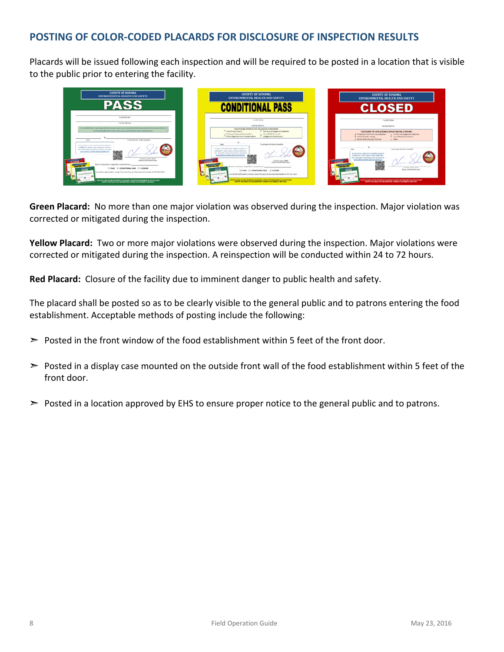### **POSTING OF COLOR‐CODED PLACARDS FOR DISCLOSURE OF INSPECTION RESULTS**

 Placards will be issued following each inspection and will be required to be posted in a location that is visible to the public prior to entering the facility.



 **Green Placard:** No more than one major violation was observed during the inspection. Major violation was corrected or mitigated during the inspection.

 **Yellow Placard:** Two or more major violations were observed during the inspection. Major violations were corrected or mitigated during the inspection. A reinspection will be conducted within 24 to 72 hours.

**Red Placard:** Closure of the facility due to imminent danger to public health and safety.

 The placard shall be posted so as to be clearly visible to the general public and to patrons entering the food establishment. Acceptable methods of posting include the following:

- $\triangleright$  Posted in the front window of the food establishment within 5 feet of the front door.
- $\triangleright$  Posted in a display case mounted on the outside front wall of the food establishment within 5 feet of the front door.
- $\triangleright$  Posted in a location approved by EHS to ensure proper notice to the general public and to patrons.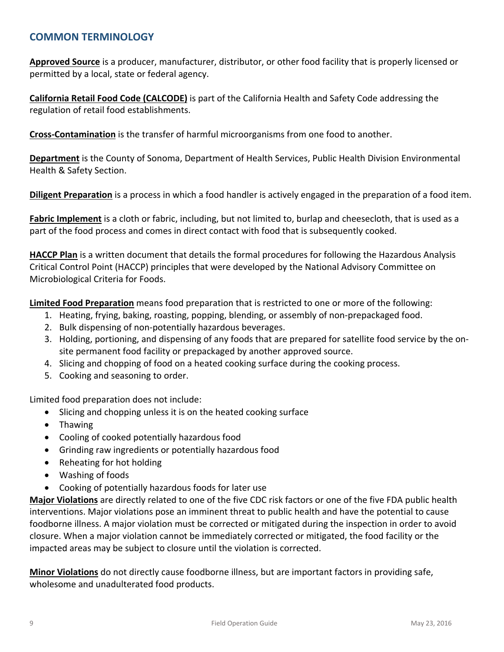### **COMMON TERMINOLOGY**

 **Approved Source** is a producer, manufacturer, distributor, or other food facility that is properly licensed or permitted by a local, state or federal agency.

 **California Retail Food Code (CALCODE)** is part of the California Health and Safety Code addressing the regulation of retail food establishments.

**Cross‐Contamination** is the transfer of harmful microorganisms from one food to another.

 **Department** is the County of Sonoma, Department of Health Services, Public Health Division Environmental Health & Safety Section.

**Diligent Preparation** is a process in which a food handler is actively engaged in the preparation of a food item.

 **Fabric Implement** is a cloth or fabric, including, but not limited to, burlap and cheesecloth, that is used as a part of the food process and comes in direct contact with food that is subsequently cooked.

 **HACCP Plan** is a written document that details the formal procedures for following the Hazardous Analysis Critical Control Point (HACCP) principles that were developed by the National Advisory Committee on Microbiological Criteria for Foods.

 **Limited Food Preparation** means food preparation that is restricted to one or more of the following:

- 1. Heating, frying, baking, roasting, popping, blending, or assembly of non-prepackaged food.
- 2. Bulk dispensing of non-potentially hazardous beverages.
- 3. Holding, portioning, and dispensing of any foods that are prepared for satellite food service by the on-site permanent food facility or prepackaged by another approved source.
- 4. Slicing and chopping of food on a heated cooking surface during the cooking process.
- 5. Cooking and seasoning to order.

Limited food preparation does not include:

- Slicing and chopping unless it is on the heated cooking surface
- Thawing
- Cooling of cooked potentially hazardous food
- Grinding raw ingredients or potentially hazardous food
- Reheating for hot holding
- Washing of foods
- Cooking of potentially hazardous foods for later use

 **Major Violations** are directly related to one of the five CDC risk factors or one of the five FDA public health interventions. Major violations pose an imminent threat to public health and have the potential to cause foodborne illness. A major violation must be corrected or mitigated during the inspection in order to avoid closure. When a major violation cannot be immediately corrected or mitigated, the food facility or the impacted areas may be subject to closure until the violation is corrected.

 **Minor Violations** do not directly cause foodborne illness, but are important factors in providing safe, wholesome and unadulterated food products.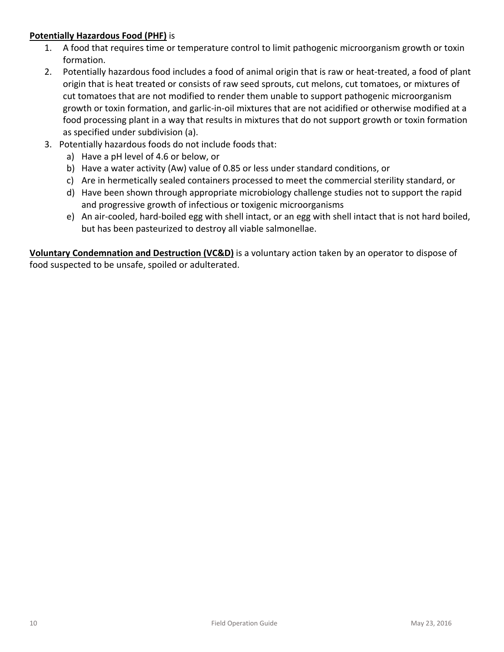### **Potentially Hazardous Food (PHF)** is

- 1. A food that requires time or temperature control to limit pathogenic microorganism growth or toxin formation.
- 2. Potentially hazardous food includes a food of animal origin that is raw or heat-treated, a food of plant origin that is heat treated or consists of raw seed sprouts, cut melons, cut tomatoes, or mixtures of cut tomatoes that are not modified to render them unable to support pathogenic microorganism growth or toxin formation, and garlic‐in‐oil mixtures that are not acidified or otherwise modified at a food processing plant in a way that results in mixtures that do not support growth or toxin formation as specified under subdivision (a).
- 3. Potentially hazardous foods do not include foods that:
	- a) Have a pH level of 4.6 or below, or
	- b) Have a water activity (Aw) value of 0.85 or less under standard conditions, or
	- c) Are in hermetically sealed containers processed to meet the commercial sterility standard, or
	- d) Have been shown through appropriate microbiology challenge studies not to support the rapid and progressive growth of infectious or toxigenic microorganisms
	- e) An air‐cooled, hard‐boiled egg with shell intact, or an egg with shell intact that is not hard boiled, but has been pasteurized to destroy all viable salmonellae.

 **Voluntary Condemnation and Destruction (VC&D)** is a voluntary action taken by an operator to dispose of food suspected to be unsafe, spoiled or adulterated.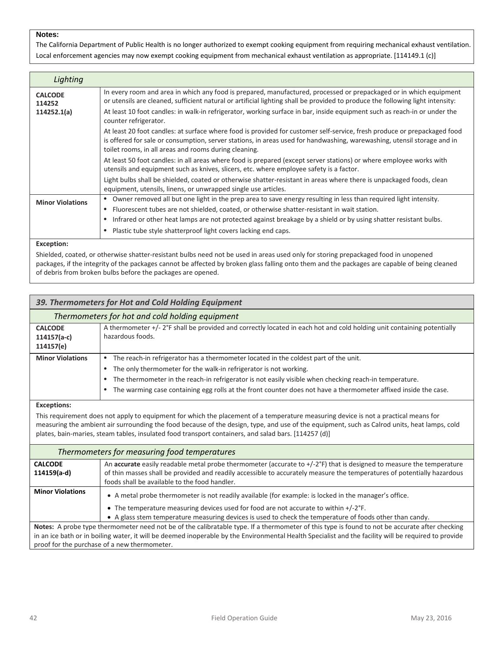The California Department of Public Health is no longer authorized to exempt cooking equipment from requiring mechanical exhaust ventilation. Local enforcement agencies may now exempt cooking equipment from mechanical exhaust ventilation as appropriate. [114149.1 (c)]

| Lighting                 |                                                                                                                                                                                                                                                                                                              |
|--------------------------|--------------------------------------------------------------------------------------------------------------------------------------------------------------------------------------------------------------------------------------------------------------------------------------------------------------|
| <b>CALCODE</b><br>114252 | In every room and area in which any food is prepared, manufactured, processed or prepackaged or in which equipment<br>or utensils are cleaned, sufficient natural or artificial lighting shall be provided to produce the following light intensity:                                                         |
| 114252.1(a)              | At least 10 foot candles: in walk-in refrigerator, working surface in bar, inside equipment such as reach-in or under the<br>counter refrigerator.                                                                                                                                                           |
|                          | At least 20 foot candles: at surface where food is provided for customer self-service, fresh produce or prepackaged food<br>is offered for sale or consumption, server stations, in areas used for handwashing, warewashing, utensil storage and in<br>toilet rooms, in all areas and rooms during cleaning. |
|                          | At least 50 foot candles: in all areas where food is prepared (except server stations) or where employee works with<br>utensils and equipment such as knives, slicers, etc. where employee safety is a factor.                                                                                               |
|                          | Light bulbs shall be shielded, coated or otherwise shatter-resistant in areas where there is unpackaged foods, clean<br>equipment, utensils, linens, or unwrapped single use articles.                                                                                                                       |
| <b>Minor Violations</b>  | • Owner removed all but one light in the prep area to save energy resulting in less than required light intensity.<br>Fluorescent tubes are not shielded, coated, or otherwise shatter-resistant in wait station.<br>$\bullet$                                                                               |
|                          | Infrared or other heat lamps are not protected against breakage by a shield or by using shatter resistant bulbs.                                                                                                                                                                                             |
|                          | Plastic tube style shatterproof light covers lacking end caps.                                                                                                                                                                                                                                               |
| ___                      |                                                                                                                                                                                                                                                                                                              |

#### **Exception:**

 Shielded, coated, or otherwise shatter‐resistant bulbs need not be used in areas used only for storing prepackaged food in unopened packages, if the integrity of the packages cannot be affected by broken glass falling onto them and the packages are capable of being cleaned of debris from broken bulbs before the packages are opened.

|                                              | 39. Thermometers for Hot and Cold Holding Equipment                                                                                                                                                                                                                                                                                                                                                 |
|----------------------------------------------|-----------------------------------------------------------------------------------------------------------------------------------------------------------------------------------------------------------------------------------------------------------------------------------------------------------------------------------------------------------------------------------------------------|
|                                              | Thermometers for hot and cold holding equipment                                                                                                                                                                                                                                                                                                                                                     |
| <b>CALCODE</b><br>$114157(a-c)$<br>114157(e) | A thermometer +/- 2°F shall be provided and correctly located in each hot and cold holding unit containing potentially<br>hazardous foods.                                                                                                                                                                                                                                                          |
| <b>Minor Violations</b>                      | The reach-in refrigerator has a thermometer located in the coldest part of the unit.<br>$\bullet$<br>The only thermometer for the walk-in refrigerator is not working.<br>The thermometer in the reach-in refrigerator is not easily visible when checking reach-in temperature.<br>The warming case containing egg rolls at the front counter does not have a thermometer affixed inside the case. |
| <b>Exceptions:</b>                           |                                                                                                                                                                                                                                                                                                                                                                                                     |

 This requirement does not apply to equipment for which the placement of a temperature measuring device is not a practical means for measuring the ambient air surrounding the food because of the design, type, and use of the equipment, such as Calrod units, heat lamps, cold plates, bain‐maries, steam tables, insulated food transport containers, and salad bars. [114257 (d)]

| Thermometers for measuring food temperatures |                                                                                                                                                      |
|----------------------------------------------|------------------------------------------------------------------------------------------------------------------------------------------------------|
| <b>CALCODE</b>                               | An accurate easily readable metal probe thermometer (accurate to +/-2°F) that is designed to measure the temperature                                 |
| 114159(a-d)                                  | of thin masses shall be provided and readily accessible to accurately measure the temperatures of potentially hazardous                              |
|                                              | foods shall be available to the food handler.                                                                                                        |
| <b>Minor Violations</b>                      | • A metal probe thermometer is not readily available (for example: is locked in the manager's office.                                                |
|                                              | • The temperature measuring devices used for food are not accurate to within $+/-2$ °F.                                                              |
|                                              | • A glass stem temperature measuring devices is used to check the temperature of foods other than candy.                                             |
|                                              | Notes: A probe type thermometer need not be of the calibratable type. If a thermometer of this type is found to not be accurate after checking       |
|                                              | in an ice bath or in boiling water, it will be deemed inoperable by the Environmental Health Specialist and the facility will be required to provide |

proof for the purchase of a new thermometer.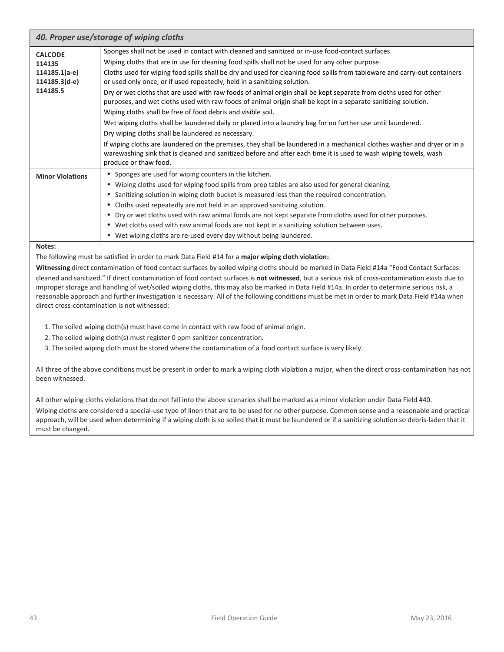| 40. Proper use/storage of wiping cloths                                |                                                                                                                                                                                                                                                                                                                                                                                                                                                                                                                                                                                                                                                                                                                                                                                                                                                                                                                                                                                                                      |
|------------------------------------------------------------------------|----------------------------------------------------------------------------------------------------------------------------------------------------------------------------------------------------------------------------------------------------------------------------------------------------------------------------------------------------------------------------------------------------------------------------------------------------------------------------------------------------------------------------------------------------------------------------------------------------------------------------------------------------------------------------------------------------------------------------------------------------------------------------------------------------------------------------------------------------------------------------------------------------------------------------------------------------------------------------------------------------------------------|
| <b>CALCODE</b><br>114135<br>114185.1(a-e)<br>114185.3(d-e)<br>114185.5 | Sponges shall not be used in contact with cleaned and sanitized or in-use food-contact surfaces.<br>Wiping cloths that are in use for cleaning food spills shall not be used for any other purpose.<br>Cloths used for wiping food spills shall be dry and used for cleaning food spills from tableware and carry-out containers<br>or used only once, or if used repeatedly, held in a sanitizing solution.<br>Dry or wet cloths that are used with raw foods of animal origin shall be kept separate from cloths used for other<br>purposes, and wet cloths used with raw foods of animal origin shall be kept in a separate sanitizing solution.<br>Wiping cloths shall be free of food debris and visible soil.<br>Wet wiping cloths shall be laundered daily or placed into a laundry bag for no further use until laundered.<br>Dry wiping cloths shall be laundered as necessary.<br>If wiping cloths are laundered on the premises, they shall be laundered in a mechanical clothes washer and dryer or in a |
|                                                                        | warewashing sink that is cleaned and sanitized before and after each time it is used to wash wiping towels, wash<br>produce or thaw food.                                                                                                                                                                                                                                                                                                                                                                                                                                                                                                                                                                                                                                                                                                                                                                                                                                                                            |
| <b>Minor Violations</b>                                                | • Sponges are used for wiping counters in the kitchen.<br>• Wiping cloths used for wiping food spills from prep tables are also used for general cleaning.<br>Sanitizing solution in wiping cloth bucket is measured less than the required concentration.<br>Cloths used repeatedly are not held in an approved sanitizing solution.<br>$\bullet$<br>Dry or wet cloths used with raw animal foods are not kept separate from cloths used for other purposes.<br>$\bullet$<br>• Wet cloths used with raw animal foods are not kept in a sanitizing solution between uses.<br>• Wet wiping cloths are re-used every day without being laundered.                                                                                                                                                                                                                                                                                                                                                                      |

 The following must be satisfied in order to mark Data Field #14 for a **major wiping cloth violation:**

**Witnessing** direct contamination of food contact surfaces by soiled wiping cloths should be marked in Data Field #14a "Food Contact Surfaces:

 cleaned and sanitized." If direct contamination of food contact surfaces is **not witnessed**, but a serious risk of cross‐contamination exists due to improper storage and handling of wet/soiled wiping cloths, this may also be marked in Data Field #14a. In order to determine serious risk, a reasonable approach and further investigation is necessary. All of the following conditions must be met in order to mark Data Field #14a when direct cross‐contamination is not witnessed:

- 1. The soiled wiping cloth(s) must have come in contact with raw food of animal origin.
- 2. The soiled wiping cloth(s) must register 0 ppm sanitizer concentration.
- 3. The soiled wiping cloth must be stored where the contamination of a food contact surface is very likely.

 All three of the above conditions must be present in order to mark a wiping cloth violation a major, when the direct cross‐contamination has not been witnessed.

 All other wiping cloths violations that do not fall into the above scenarios shall be marked as a minor violation under Data Field #40. Wiping cloths are considered a special‐use type of linen that are to be used for no other purpose. Common sense and a reasonable and practical approach, will be used when determining if a wiping cloth is so soiled that it must be laundered or if a sanitizing solution so debris‐laden that it must be changed.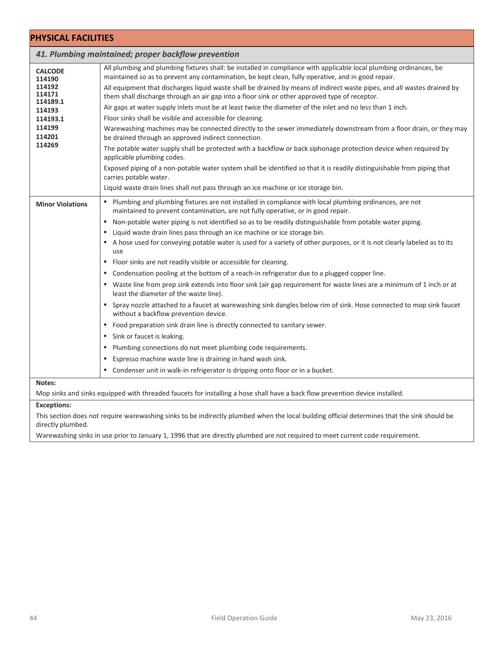| <b>PHYSICAL FACILITIES</b>                   |                                                                                                                                                                                                                                                                                                                                                                                                                                                                                                                                                                                                                                                                                                                                                                                                                                                                                                                                                                                                                                                                                                                                                                                                                                                                                                                                                                   |
|----------------------------------------------|-------------------------------------------------------------------------------------------------------------------------------------------------------------------------------------------------------------------------------------------------------------------------------------------------------------------------------------------------------------------------------------------------------------------------------------------------------------------------------------------------------------------------------------------------------------------------------------------------------------------------------------------------------------------------------------------------------------------------------------------------------------------------------------------------------------------------------------------------------------------------------------------------------------------------------------------------------------------------------------------------------------------------------------------------------------------------------------------------------------------------------------------------------------------------------------------------------------------------------------------------------------------------------------------------------------------------------------------------------------------|
|                                              | 41. Plumbing maintained; proper backflow prevention                                                                                                                                                                                                                                                                                                                                                                                                                                                                                                                                                                                                                                                                                                                                                                                                                                                                                                                                                                                                                                                                                                                                                                                                                                                                                                               |
| <b>CALCODE</b><br>114190<br>114192<br>114171 | All plumbing and plumbing fixtures shall: be installed in compliance with applicable local plumbing ordinances, be<br>maintained so as to prevent any contamination, be kept clean, fully operative, and in good repair.<br>All equipment that discharges liquid waste shall be drained by means of indirect waste pipes, and all wastes drained by<br>them shall discharge through an air gap into a floor sink or other approved type of receptor.                                                                                                                                                                                                                                                                                                                                                                                                                                                                                                                                                                                                                                                                                                                                                                                                                                                                                                              |
| 114189.1<br>114193<br>114193.1<br>114199     | Air gaps at water supply inlets must be at least twice the diameter of the inlet and no less than 1 inch.<br>Floor sinks shall be visible and accessible for cleaning.<br>Warewashing machines may be connected directly to the sewer immediately downstream from a floor drain, or they may                                                                                                                                                                                                                                                                                                                                                                                                                                                                                                                                                                                                                                                                                                                                                                                                                                                                                                                                                                                                                                                                      |
| 114201<br>114269                             | be drained through an approved indirect connection.<br>The potable water supply shall be protected with a backflow or back siphonage protection device when required by<br>applicable plumbing codes.<br>Exposed piping of a non-potable water system shall be identified so that it is readily distinguishable from piping that                                                                                                                                                                                                                                                                                                                                                                                                                                                                                                                                                                                                                                                                                                                                                                                                                                                                                                                                                                                                                                  |
|                                              | carries potable water.<br>Liquid waste drain lines shall not pass through an ice machine or ice storage bin.                                                                                                                                                                                                                                                                                                                                                                                                                                                                                                                                                                                                                                                                                                                                                                                                                                                                                                                                                                                                                                                                                                                                                                                                                                                      |
| <b>Minor Violations</b>                      | • Plumbing and plumbing fixtures are not installed in compliance with local plumbing ordinances, are not<br>maintained to prevent contamination, are not fully operative, or in good repair.<br>Non-potable water piping is not identified so as to be readily distinguishable from potable water piping.<br>Liquid waste drain lines pass through an ice machine or ice storage bin.<br>A hose used for conveying potable water is used for a variety of other purposes, or it is not clearly labeled as to its<br>use<br>Floor sinks are not readily visible or accessible for cleaning.<br>Condensation pooling at the bottom of a reach-in refrigerator due to a plugged copper line.<br>Waste line from prep sink extends into floor sink (air gap requirement for waste lines are a minimum of 1 inch or at<br>least the diameter of the waste line).<br>Spray nozzle attached to a faucet at warewashing sink dangles below rim of sink. Hose connected to mop sink faucet<br>without a backflow prevention device.<br>Food preparation sink drain line is directly connected to sanitary sewer.<br>$\bullet$<br>Sink or faucet is leaking.<br>Plumbing connections do not meet plumbing code requirements.<br>Espresso machine waste line is draining in hand wash sink.<br>Condenser unit in walk-in refrigerator is dripping onto floor or in a bucket. |
| Notes:                                       |                                                                                                                                                                                                                                                                                                                                                                                                                                                                                                                                                                                                                                                                                                                                                                                                                                                                                                                                                                                                                                                                                                                                                                                                                                                                                                                                                                   |
|                                              | Mop sinks and sinks equipped with threaded faucets for installing a hose shall have a back flow prevention device installed.                                                                                                                                                                                                                                                                                                                                                                                                                                                                                                                                                                                                                                                                                                                                                                                                                                                                                                                                                                                                                                                                                                                                                                                                                                      |
| <b>Exceptions:</b><br>directly plumbed.      | This section does not require warewashing sinks to be indirectly plumbed when the local building official determines that the sink should be                                                                                                                                                                                                                                                                                                                                                                                                                                                                                                                                                                                                                                                                                                                                                                                                                                                                                                                                                                                                                                                                                                                                                                                                                      |

Warewashing sinks in use prior to January 1, 1996 that are directly plumbed are not required to meet current code requirement.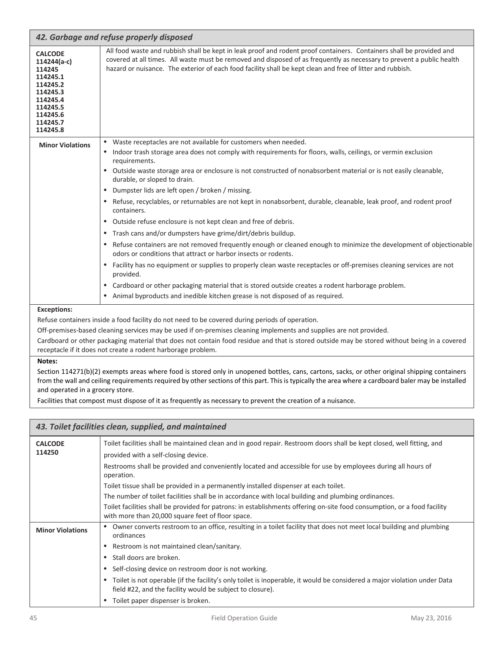| 42. Garbage and refuse properly disposed                                                                                                |                                                                                                                                                                                                                                                                                                                                                                                                                                                                                                                                                                                                                                                                                                                                                                                                                                                                                                                                                                                                                                                                                                                                                                                                                                                  |
|-----------------------------------------------------------------------------------------------------------------------------------------|--------------------------------------------------------------------------------------------------------------------------------------------------------------------------------------------------------------------------------------------------------------------------------------------------------------------------------------------------------------------------------------------------------------------------------------------------------------------------------------------------------------------------------------------------------------------------------------------------------------------------------------------------------------------------------------------------------------------------------------------------------------------------------------------------------------------------------------------------------------------------------------------------------------------------------------------------------------------------------------------------------------------------------------------------------------------------------------------------------------------------------------------------------------------------------------------------------------------------------------------------|
| <b>CALCODE</b><br>114244(a-c)<br>114245<br>114245.1<br>114245.2<br>114245.3<br>114245.4<br>114245.5<br>114245.6<br>114245.7<br>114245.8 | All food waste and rubbish shall be kept in leak proof and rodent proof containers. Containers shall be provided and<br>covered at all times. All waste must be removed and disposed of as frequently as necessary to prevent a public health<br>hazard or nuisance. The exterior of each food facility shall be kept clean and free of litter and rubbish.                                                                                                                                                                                                                                                                                                                                                                                                                                                                                                                                                                                                                                                                                                                                                                                                                                                                                      |
| <b>Minor Violations</b>                                                                                                                 | Waste receptacles are not available for customers when needed.<br>$\bullet$<br>Indoor trash storage area does not comply with requirements for floors, walls, ceilings, or vermin exclusion<br>requirements.<br>Outside waste storage area or enclosure is not constructed of nonabsorbent material or is not easily cleanable,<br>$\bullet$<br>durable, or sloped to drain.<br>Dumpster lids are left open / broken / missing.<br>Refuse, recyclables, or returnables are not kept in nonabsorbent, durable, cleanable, leak proof, and rodent proof<br>containers.<br>Outside refuse enclosure is not kept clean and free of debris.<br>$\bullet$<br>Trash cans and/or dumpsters have grime/dirt/debris buildup.<br>$\bullet$<br>Refuse containers are not removed frequently enough or cleaned enough to minimize the development of objectionable<br>odors or conditions that attract or harbor insects or rodents.<br>Facility has no equipment or supplies to properly clean waste receptacles or off-premises cleaning services are not<br>provided.<br>Cardboard or other packaging material that is stored outside creates a rodent harborage problem.<br>Animal byproducts and inedible kitchen grease is not disposed of as required. |
| <b>Exceptions:</b>                                                                                                                      | Refuse containers inside a food facility do not need to be covered during periods of operation.<br>Off-premises-based cleaning services may be used if on-premises cleaning implements and supplies are not provided.<br>Cardboard or other packaging material that does not contain food residue and that is stored outside may be stored without being in a covered                                                                                                                                                                                                                                                                                                                                                                                                                                                                                                                                                                                                                                                                                                                                                                                                                                                                            |

receptacle if it does not create a rodent harborage problem.

#### **Notes:**

 Section 114271(b)(2) exempts areas where food is stored only in unopened bottles, cans, cartons, sacks, or other original shipping containers from the wall and ceiling requirements required by other sections of this part. This is typically the area where a cardboard baler may be installed and operated in a grocery store.

Facilities that compost must dispose of it as frequently as necessary to prevent the creation of a nuisance.

|                          | 43. Toilet facilities clean, supplied, and maintained                                                                                                                                   |
|--------------------------|-----------------------------------------------------------------------------------------------------------------------------------------------------------------------------------------|
| <b>CALCODE</b><br>114250 | Toilet facilities shall be maintained clean and in good repair. Restroom doors shall be kept closed, well fitting, and<br>provided with a self-closing device.                          |
|                          | Restrooms shall be provided and conveniently located and accessible for use by employees during all hours of<br>operation.                                                              |
|                          | Toilet tissue shall be provided in a permanently installed dispenser at each toilet.                                                                                                    |
|                          | The number of toilet facilities shall be in accordance with local building and plumbing ordinances.                                                                                     |
|                          | Toilet facilities shall be provided for patrons: in establishments offering on-site food consumption, or a food facility<br>with more than 20,000 square feet of floor space.           |
| <b>Minor Violations</b>  | • Owner converts restroom to an office, resulting in a toilet facility that does not meet local building and plumbing<br>ordinances                                                     |
|                          | Restroom is not maintained clean/sanitary.                                                                                                                                              |
|                          | Stall doors are broken.                                                                                                                                                                 |
|                          | Self-closing device on restroom door is not working.                                                                                                                                    |
|                          | • Toilet is not operable (if the facility's only toilet is inoperable, it would be considered a major violation under Data<br>field #22, and the facility would be subject to closure). |
|                          | Toilet paper dispenser is broken.                                                                                                                                                       |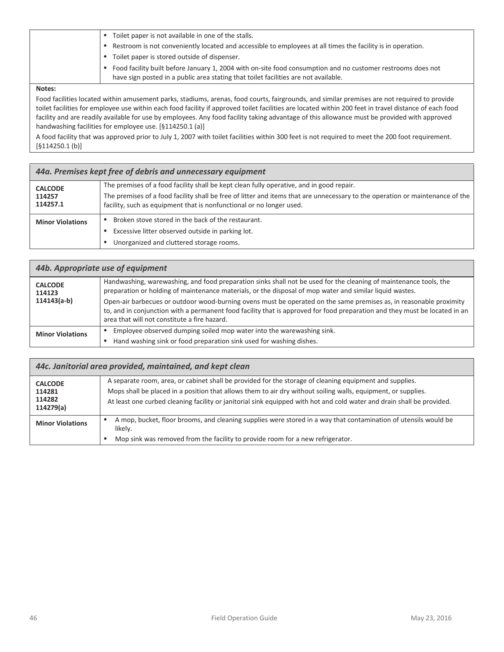| Toilet paper is not available in one of the stalls.                                                                                                                                                |
|----------------------------------------------------------------------------------------------------------------------------------------------------------------------------------------------------|
| Restroom is not conveniently located and accessible to employees at all times the facility is in operation.                                                                                        |
| Toilet paper is stored outside of dispenser.                                                                                                                                                       |
| Food facility built before January 1, 2004 with on-site food consumption and no customer restrooms does not<br>have sign posted in a public area stating that toilet facilities are not available. |

 Food facilities located within amusement parks, stadiums, arenas, food courts, fairgrounds, and similar premises are not required to provide toilet facilities for employee use within each food facility if approved toilet facilities are located within 200 feet in travel distance of each food facility and are readily available for use by employees. Any food facility taking advantage of this allowance must be provided with approved handwashing facilities for employee use. [§114250.1 (a)]

 A food facility that was approved prior to July 1, 2007 with toilet facilities within 300 feet is not required to meet the 200 foot requirement. [§114250.1 (b)]

| 44a. Premises kept free of debris and unnecessary equipment |                                                                                                                                                                                                                                                                                                   |
|-------------------------------------------------------------|---------------------------------------------------------------------------------------------------------------------------------------------------------------------------------------------------------------------------------------------------------------------------------------------------|
| <b>CALCODE</b><br>114257<br>114257.1                        | The premises of a food facility shall be kept clean fully operative, and in good repair.<br>The premises of a food facility shall be free of litter and items that are unnecessary to the operation or maintenance of the<br>facility, such as equipment that is nonfunctional or no longer used. |
| <b>Minor Violations</b>                                     | Broken stove stored in the back of the restaurant.<br>Excessive litter observed outside in parking lot.<br>Unorganized and cluttered storage rooms.                                                                                                                                               |

| 44b. Appropriate use of equipment         |                                                                                                                                                                                                                                                                                                                                                                                                                                                                                                                                   |
|-------------------------------------------|-----------------------------------------------------------------------------------------------------------------------------------------------------------------------------------------------------------------------------------------------------------------------------------------------------------------------------------------------------------------------------------------------------------------------------------------------------------------------------------------------------------------------------------|
| <b>CALCODE</b><br>114123<br>$114143(a-b)$ | Handwashing, warewashing, and food preparation sinks shall not be used for the cleaning of maintenance tools, the<br>preparation or holding of maintenance materials, or the disposal of mop water and similar liquid wastes.<br>Open-air barbecues or outdoor wood-burning ovens must be operated on the same premises as, in reasonable proximity<br>to, and in conjunction with a permanent food facility that is approved for food preparation and they must be located in an<br>area that will not constitute a fire hazard. |
| <b>Minor Violations</b>                   | Employee observed dumping soiled mop water into the warewashing sink.<br>Hand washing sink or food preparation sink used for washing dishes.                                                                                                                                                                                                                                                                                                                                                                                      |

| 44c. Janitorial area provided, maintained, and kept clean |                                                                                                                                                                                                                                                                                                                                                    |
|-----------------------------------------------------------|----------------------------------------------------------------------------------------------------------------------------------------------------------------------------------------------------------------------------------------------------------------------------------------------------------------------------------------------------|
| <b>CALCODE</b><br>114281<br>114282<br>114279(a)           | A separate room, area, or cabinet shall be provided for the storage of cleaning equipment and supplies.<br>Mops shall be placed in a position that allows them to air dry without soiling walls, equipment, or supplies.<br>At least one curbed cleaning facility or janitorial sink equipped with hot and cold water and drain shall be provided. |
| <b>Minor Violations</b>                                   | A mop, bucket, floor brooms, and cleaning supplies were stored in a way that contamination of utensils would be<br>likely.<br>Mop sink was removed from the facility to provide room for a new refrigerator.                                                                                                                                       |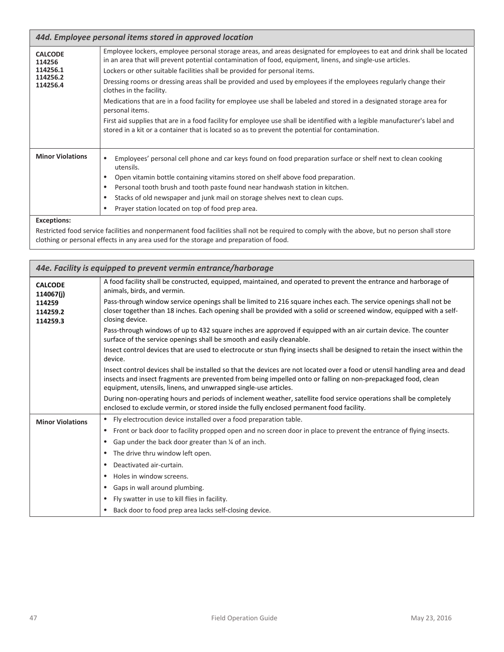| 44d. Employee personal items stored in approved location     |                                                                                                                                                                                                                                                                                                                                                                                                                                                                                                                                                                                                                                                                                                                                                                                                                                                   |
|--------------------------------------------------------------|---------------------------------------------------------------------------------------------------------------------------------------------------------------------------------------------------------------------------------------------------------------------------------------------------------------------------------------------------------------------------------------------------------------------------------------------------------------------------------------------------------------------------------------------------------------------------------------------------------------------------------------------------------------------------------------------------------------------------------------------------------------------------------------------------------------------------------------------------|
| <b>CALCODE</b><br>114256<br>114256.1<br>114256.2<br>114256.4 | Employee lockers, employee personal storage areas, and areas designated for employees to eat and drink shall be located<br>in an area that will prevent potential contamination of food, equipment, linens, and single-use articles.<br>Lockers or other suitable facilities shall be provided for personal items.<br>Dressing rooms or dressing areas shall be provided and used by employees if the employees regularly change their<br>clothes in the facility.<br>Medications that are in a food facility for employee use shall be labeled and stored in a designated storage area for<br>personal items.<br>First aid supplies that are in a food facility for employee use shall be identified with a legible manufacturer's label and<br>stored in a kit or a container that is located so as to prevent the potential for contamination. |
| <b>Minor Violations</b>                                      | Employees' personal cell phone and car keys found on food preparation surface or shelf next to clean cooking<br>utensils.<br>Open vitamin bottle containing vitamins stored on shelf above food preparation.<br>٠<br>Personal tooth brush and tooth paste found near handwash station in kitchen.<br>$\bullet$<br>Stacks of old newspaper and junk mail on storage shelves next to clean cups.<br>$\bullet$<br>Prayer station located on top of food prep area.<br>٠                                                                                                                                                                                                                                                                                                                                                                              |

#### **Exceptions:**

 Restricted food service facilities and nonpermanent food facilities shall not be required to comply with the above, but no person shall store clothing or personal effects in any area used for the storage and preparation of food.

| 44e. Facility is equipped to prevent vermin entrance/harborage |                                                                                                                                                                                                                                                                                                                 |  |
|----------------------------------------------------------------|-----------------------------------------------------------------------------------------------------------------------------------------------------------------------------------------------------------------------------------------------------------------------------------------------------------------|--|
| <b>CALCODE</b><br>114067(i)                                    | A food facility shall be constructed, equipped, maintained, and operated to prevent the entrance and harborage of<br>animals, birds, and vermin.                                                                                                                                                                |  |
| 114259<br>114259.2<br>114259.3                                 | Pass-through window service openings shall be limited to 216 square inches each. The service openings shall not be<br>closer together than 18 inches. Each opening shall be provided with a solid or screened window, equipped with a self-<br>closing device.                                                  |  |
|                                                                | Pass-through windows of up to 432 square inches are approved if equipped with an air curtain device. The counter<br>surface of the service openings shall be smooth and easily cleanable.                                                                                                                       |  |
|                                                                | Insect control devices that are used to electrocute or stun flying insects shall be designed to retain the insect within the<br>device.                                                                                                                                                                         |  |
|                                                                | Insect control devices shall be installed so that the devices are not located over a food or utensil handling area and dead<br>insects and insect fragments are prevented from being impelled onto or falling on non-prepackaged food, clean<br>equipment, utensils, linens, and unwrapped single-use articles. |  |
|                                                                | During non-operating hours and periods of inclement weather, satellite food service operations shall be completely<br>enclosed to exclude vermin, or stored inside the fully enclosed permanent food facility.                                                                                                  |  |
| <b>Minor Violations</b>                                        | Fly electrocution device installed over a food preparation table.                                                                                                                                                                                                                                               |  |
|                                                                | Front or back door to facility propped open and no screen door in place to prevent the entrance of flying insects.                                                                                                                                                                                              |  |
|                                                                | Gap under the back door greater than 1/4 of an inch.<br>٠                                                                                                                                                                                                                                                       |  |
|                                                                | The drive thru window left open.                                                                                                                                                                                                                                                                                |  |
|                                                                | Deactivated air-curtain.                                                                                                                                                                                                                                                                                        |  |
|                                                                | Holes in window screens.<br>٠                                                                                                                                                                                                                                                                                   |  |
|                                                                | Gaps in wall around plumbing.<br>٠                                                                                                                                                                                                                                                                              |  |
|                                                                | Fly swatter in use to kill flies in facility.                                                                                                                                                                                                                                                                   |  |
|                                                                | Back door to food prep area lacks self-closing device.                                                                                                                                                                                                                                                          |  |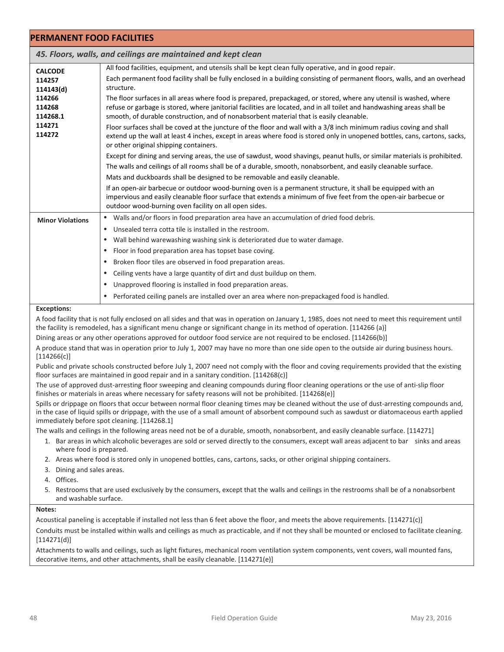| <b>PERMANENT FOOD FACILITIES</b>                                                          |                                                                                                                                                                                                                                                                                                                                                                                                                                                                                                                                                                                                                                                                                                                                                                                                                                                                                                                                                                                                                                                                                                                                                                                                                          |
|-------------------------------------------------------------------------------------------|--------------------------------------------------------------------------------------------------------------------------------------------------------------------------------------------------------------------------------------------------------------------------------------------------------------------------------------------------------------------------------------------------------------------------------------------------------------------------------------------------------------------------------------------------------------------------------------------------------------------------------------------------------------------------------------------------------------------------------------------------------------------------------------------------------------------------------------------------------------------------------------------------------------------------------------------------------------------------------------------------------------------------------------------------------------------------------------------------------------------------------------------------------------------------------------------------------------------------|
|                                                                                           | 45. Floors, walls, and ceilings are maintained and kept clean                                                                                                                                                                                                                                                                                                                                                                                                                                                                                                                                                                                                                                                                                                                                                                                                                                                                                                                                                                                                                                                                                                                                                            |
| <b>CALCODE</b><br>114257<br>114143(d)<br>114266<br>114268<br>114268.1<br>114271<br>114272 | All food facilities, equipment, and utensils shall be kept clean fully operative, and in good repair.<br>Each permanent food facility shall be fully enclosed in a building consisting of permanent floors, walls, and an overhead<br>structure.<br>The floor surfaces in all areas where food is prepared, prepackaged, or stored, where any utensil is washed, where<br>refuse or garbage is stored, where janitorial facilities are located, and in all toilet and handwashing areas shall be<br>smooth, of durable construction, and of nonabsorbent material that is easily cleanable.<br>Floor surfaces shall be coved at the juncture of the floor and wall with a 3/8 inch minimum radius coving and shall<br>extend up the wall at least 4 inches, except in areas where food is stored only in unopened bottles, cans, cartons, sacks,<br>or other original shipping containers.<br>Except for dining and serving areas, the use of sawdust, wood shavings, peanut hulls, or similar materials is prohibited.<br>The walls and ceilings of all rooms shall be of a durable, smooth, nonabsorbent, and easily cleanable surface.<br>Mats and duckboards shall be designed to be removable and easily cleanable. |
|                                                                                           | If an open-air barbecue or outdoor wood-burning oven is a permanent structure, it shall be equipped with an<br>impervious and easily cleanable floor surface that extends a minimum of five feet from the open-air barbecue or<br>outdoor wood-burning oven facility on all open sides.                                                                                                                                                                                                                                                                                                                                                                                                                                                                                                                                                                                                                                                                                                                                                                                                                                                                                                                                  |
| <b>Minor Violations</b>                                                                   | Walls and/or floors in food preparation area have an accumulation of dried food debris.<br>$\bullet$<br>Unsealed terra cotta tile is installed in the restroom.<br>٠<br>Wall behind warewashing washing sink is deteriorated due to water damage.<br>$\bullet$<br>Floor in food preparation area has topset base coving.<br>٠<br>Broken floor tiles are observed in food preparation areas.<br>٠<br>Ceiling vents have a large quantity of dirt and dust buildup on them.<br>Unapproved flooring is installed in food preparation areas.<br>$\bullet$                                                                                                                                                                                                                                                                                                                                                                                                                                                                                                                                                                                                                                                                    |
|                                                                                           | Perforated ceiling panels are installed over an area where non-prepackaged food is handled.                                                                                                                                                                                                                                                                                                                                                                                                                                                                                                                                                                                                                                                                                                                                                                                                                                                                                                                                                                                                                                                                                                                              |

#### **Exceptions:**

 A food facility that is not fully enclosed on all sides and that was in operation on January 1, 1985, does not need to meet this requirement until the facility is remodeled, has a significant menu change or significant change in its method of operation. [114266 (a)]

Dining areas or any other operations approved for outdoor food service are not required to be enclosed. [114266(b)]

 A produce stand that was in operation prior to July 1, 2007 may have no more than one side open to the outside air during business hours. [114266(c)]

 Public and private schools constructed before July 1, 2007 need not comply with the floor and coving requirements provided that the existing floor surfaces are maintained in good repair and in a sanitary condition. [114268(c)]

 The use of approved dust‐arresting floor sweeping and cleaning compounds during floor cleaning operations or the use of anti‐slip floor finishes or materials in areas where necessary for safety reasons will not be prohibited. [114268(e)]

Spills or drippage on floors that occur between normal floor cleaning times may be cleaned without the use of dust-arresting compounds and, in the case of liquid spills or drippage, with the use of a small amount of absorbent compound such as sawdust or diatomaceous earth applied immediately before spot cleaning. [114268.1]

The walls and ceilings in the following areas need not be of a durable, smooth, nonabsorbent, and easily cleanable surface. [114271]

- 1. Bar areas in which alcoholic beverages are sold or served directly to the consumers, except wall areas adjacent to bar sinks and areas where food is prepared.
- 2. Areas where food is stored only in unopened bottles, cans, cartons, sacks, or other original shipping containers.
- 3. Dining and sales areas.
- 4. Offices.
- 5. Restrooms that are used exclusively by the consumers, except that the walls and ceilings in the restrooms shall be of a nonabsorbent and washable surface.

#### **Notes:**

Acoustical paneling is acceptable if installed not less than 6 feet above the floor, and meets the above requirements. [114271(c)]

 Conduits must be installed within walls and ceilings as much as practicable, and if not they shall be mounted or enclosed to facilitate cleaning. [114271(d)]

 Attachments to walls and ceilings, such as light fixtures, mechanical room ventilation system components, vent covers, wall mounted fans, decorative items, and other attachments, shall be easily cleanable. [114271(e)]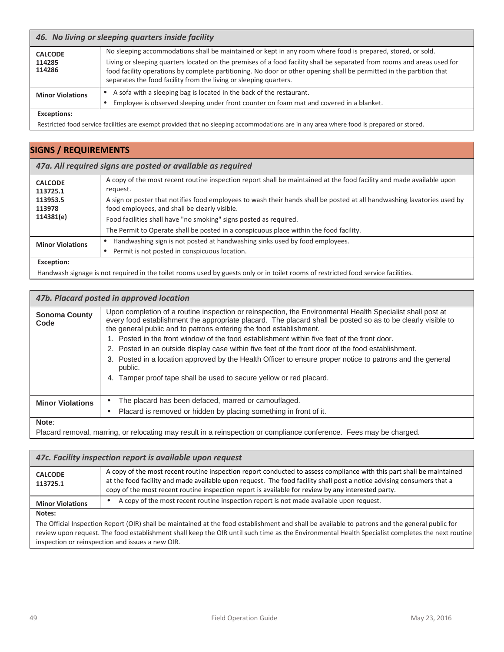| 46. No living or sleeping quarters inside facility |                                                                                                                                                                                                                                                                                                                                                                                                                                     |
|----------------------------------------------------|-------------------------------------------------------------------------------------------------------------------------------------------------------------------------------------------------------------------------------------------------------------------------------------------------------------------------------------------------------------------------------------------------------------------------------------|
| <b>CALCODE</b><br>114285<br>114286                 | No sleeping accommodations shall be maintained or kept in any room where food is prepared, stored, or sold.<br>Living or sleeping quarters located on the premises of a food facility shall be separated from rooms and areas used for<br>food facility operations by complete partitioning. No door or other opening shall be permitted in the partition that<br>separates the food facility from the living or sleeping quarters. |
| <b>Minor Violations</b>                            | A sofa with a sleeping bag is located in the back of the restaurant.<br>Employee is observed sleeping under front counter on foam mat and covered in a blanket.                                                                                                                                                                                                                                                                     |
| Evcantions:                                        |                                                                                                                                                                                                                                                                                                                                                                                                                                     |

#### **Exceptions:**

Restricted food service facilities are exempt provided that no sleeping accommodations are in any area where food is prepared or stored.

### **SIGNS / REQUIREMENTS**

#### *47a. All required signs are posted or available as required*

| <b>CALCODE</b><br>113725.1<br>113953.5<br>113978<br>114381(e) | A copy of the most recent routine inspection report shall be maintained at the food facility and made available upon<br>request.<br>A sign or poster that notifies food employees to wash their hands shall be posted at all handwashing lavatories used by<br>food employees, and shall be clearly visible. |
|---------------------------------------------------------------|--------------------------------------------------------------------------------------------------------------------------------------------------------------------------------------------------------------------------------------------------------------------------------------------------------------|
|                                                               | Food facilities shall have "no smoking" signs posted as required.                                                                                                                                                                                                                                            |
|                                                               | The Permit to Operate shall be posted in a conspicuous place within the food facility.                                                                                                                                                                                                                       |
| <b>Minor Violations</b>                                       | Handwashing sign is not posted at handwashing sinks used by food employees.                                                                                                                                                                                                                                  |
|                                                               | Permit is not posted in conspicuous location.                                                                                                                                                                                                                                                                |
|                                                               |                                                                                                                                                                                                                                                                                                              |

#### **Exception:**

Handwash signage is not required in the toilet rooms used by guests only or in toilet rooms of restricted food service facilities.

| 47b. Placard posted in approved location |                                                                                                                                                                                                                                                                                                                                                                                                                                                                                                                                                                                                                                                                                                      |
|------------------------------------------|------------------------------------------------------------------------------------------------------------------------------------------------------------------------------------------------------------------------------------------------------------------------------------------------------------------------------------------------------------------------------------------------------------------------------------------------------------------------------------------------------------------------------------------------------------------------------------------------------------------------------------------------------------------------------------------------------|
| <b>Sonoma County</b><br>Code             | Upon completion of a routine inspection or reinspection, the Environmental Health Specialist shall post at<br>every food establishment the appropriate placard. The placard shall be posted so as to be clearly visible to<br>the general public and to patrons entering the food establishment.<br>1. Posted in the front window of the food establishment within five feet of the front door.<br>2. Posted in an outside display case within five feet of the front door of the food establishment.<br>3. Posted in a location approved by the Health Officer to ensure proper notice to patrons and the general<br>public.<br>4. Tamper proof tape shall be used to secure yellow or red placard. |
| <b>Minor Violations</b>                  | The placard has been defaced, marred or camouflaged.<br>Placard is removed or hidden by placing something in front of it.                                                                                                                                                                                                                                                                                                                                                                                                                                                                                                                                                                            |
| Note:                                    |                                                                                                                                                                                                                                                                                                                                                                                                                                                                                                                                                                                                                                                                                                      |

Placard removal, marring, or relocating may result in a reinspection or compliance conference. Fees may be charged.

| 47c. Facility inspection report is available upon request                                                                                       |                                                                                                                                                                                                                                                                                                                                                      |
|-------------------------------------------------------------------------------------------------------------------------------------------------|------------------------------------------------------------------------------------------------------------------------------------------------------------------------------------------------------------------------------------------------------------------------------------------------------------------------------------------------------|
| <b>CALCODE</b><br>113725.1                                                                                                                      | A copy of the most recent routine inspection report conducted to assess compliance with this part shall be maintained<br>at the food facility and made available upon request. The food facility shall post a notice advising consumers that a<br>copy of the most recent routine inspection report is available for review by any interested party. |
| <b>Minor Violations</b>                                                                                                                         | A copy of the most recent routine inspection report is not made available upon request.                                                                                                                                                                                                                                                              |
| Notes:                                                                                                                                          |                                                                                                                                                                                                                                                                                                                                                      |
| The Official Inspection Report (OIR) shall be maintained at the food establishment and shall be available to patrons and the general public for |                                                                                                                                                                                                                                                                                                                                                      |

 review upon request. The food establishment shall keep the OIR until such time as the Environmental Health Specialist completes the next routine inspection or reinspection and issues a new OIR.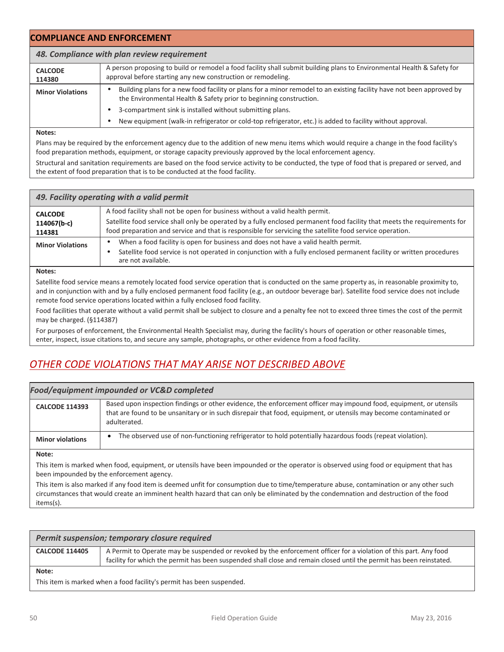| <b>COMPLIANCE AND ENFORCEMENT</b>           |                                                                                                                                                                                             |
|---------------------------------------------|---------------------------------------------------------------------------------------------------------------------------------------------------------------------------------------------|
| 48. Compliance with plan review requirement |                                                                                                                                                                                             |
| <b>CALCODE</b><br>114380                    | A person proposing to build or remodel a food facility shall submit building plans to Environmental Health & Safety for<br>approval before starting any new construction or remodeling.     |
| <b>Minor Violations</b>                     | Building plans for a new food facility or plans for a minor remodel to an existing facility have not been approved by<br>the Environmental Health & Safety prior to beginning construction. |
|                                             | 3-compartment sink is installed without submitting plans.<br>New equipment (walk-in refrigerator or cold-top refrigerator, etc.) is added to facility without approval.                     |

 Plans may be required by the enforcement agency due to the addition of new menu items which would require a change in the food facility's food preparation methods, equipment, or storage capacity previously approved by the local enforcement agency.

 Structural and sanitation requirements are based on the food service activity to be conducted, the type of food that is prepared or served, and the extent of food preparation that is to be conducted at the food facility.

| 49. Facility operating with a valid permit |                                                                                                                                            |
|--------------------------------------------|--------------------------------------------------------------------------------------------------------------------------------------------|
| <b>CALCODE</b>                             | A food facility shall not be open for business without a valid health permit.                                                              |
| 114067(b-c)                                | Satellite food service shall only be operated by a fully enclosed permanent food facility that meets the requirements for                  |
| 114381                                     | food preparation and service and that is responsible for servicing the satellite food service operation.                                   |
| <b>Minor Violations</b>                    | When a food facility is open for business and does not have a valid health permit.                                                         |
|                                            | Satellite food service is not operated in conjunction with a fully enclosed permanent facility or written procedures<br>are not available. |
| Notes:                                     |                                                                                                                                            |

 Satellite food service means a remotely located food service operation that is conducted on the same property as, in reasonable proximity to, and in conjunction with and by a fully enclosed permanent food facility (e.g., an outdoor beverage bar). Satellite food service does not include remote food service operations located within a fully enclosed food facility.

 Food facilities that operate without a valid permit shall be subject to closure and a penalty fee not to exceed three times the cost of the permit may be charged. (§114387)

 For purposes of enforcement, the Environmental Health Specialist may, during the facility's hours of operation or other reasonable times, enter, inspect, issue citations to, and secure any sample, photographs, or other evidence from a food facility.

### *OTHER CODE VIOLATIONS THAT MAY ARISE NOT DESCRIBED ABOVE*

| <b>Food/equipment impounded or VC&amp;D completed</b>                                                                                  |                                                                                                                                                                                                                                                         |
|----------------------------------------------------------------------------------------------------------------------------------------|---------------------------------------------------------------------------------------------------------------------------------------------------------------------------------------------------------------------------------------------------------|
| <b>CALCODE 114393</b>                                                                                                                  | Based upon inspection findings or other evidence, the enforcement officer may impound food, equipment, or utensils<br>that are found to be unsanitary or in such disrepair that food, equipment, or utensils may become contaminated or<br>adulterated. |
| <b>Minor violations</b>                                                                                                                | The observed use of non-functioning refrigerator to hold potentially hazardous foods (repeat violation).                                                                                                                                                |
| Note:                                                                                                                                  |                                                                                                                                                                                                                                                         |
| This item is marked when food, equipment, or utensils have been impounded or the operator is observed using food or equipment that has |                                                                                                                                                                                                                                                         |

been impounded by the enforcement agency.

 This item is also marked if any food item is deemed unfit for consumption due to time/temperature abuse, contamination or any other such circumstances that would create an imminent health hazard that can only be eliminated by the condemnation and destruction of the food items(s).

| Permit suspension; temporary closure required |                                                                                                                                                                                                                                           |
|-----------------------------------------------|-------------------------------------------------------------------------------------------------------------------------------------------------------------------------------------------------------------------------------------------|
| <b>CALCODE 114405</b>                         | A Permit to Operate may be suspended or revoked by the enforcement officer for a violation of this part. Any food<br>facility for which the permit has been suspended shall close and remain closed until the permit has been reinstated. |
| Note:                                         |                                                                                                                                                                                                                                           |

This item is marked when a food facility's permit has been suspended.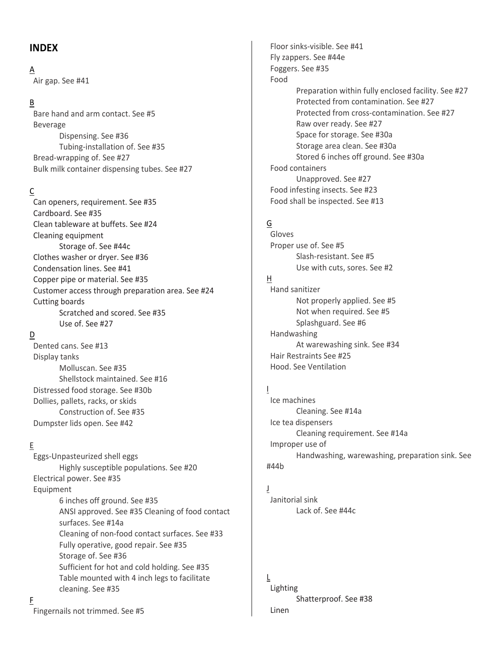### **INDEX**

 Air gap. See #41 A

### B

 Bare hand and arm contact. See #5 Beverage Dispensing. See #36 Tubing‐installation of. See #35 Bread‐wrapping of. See #27 Bulk milk container dispensing tubes. See #27

### C

 Can openers, requirement. See #35 Cardboard. See #35 Clean tableware at buffets. See #24 Cleaning equipment Storage of. See #44c Clothes washer or dryer. See #36 Condensation lines. See #41 Copper pipe or material. See #35 Customer access through preparation area. See #24 Cutting boards Scratched and scored. See #35 Use of. See #27

### D

 Dented cans. See #13 Display tanks Molluscan. See #35 Shellstock maintained. See #16 Distressed food storage. See #30b Dollies, pallets, racks, or skids Construction of. See #35 Dumpster lids open. See #42

### E

 Eggs‐Unpasteurized shell eggs Highly susceptible populations. See #20 Electrical power. See #35 6 inches off ground. See #35 ANSI approved. See #35 Cleaning of food contact surfaces. See #14a Cleaning of non‐food contact surfaces. See #33 Fully operative, good repair. See #35 Storage of. See #36 Sufficient for hot and cold holding. See #35 Table mounted with 4 inch legs to facilitate cleaning. See #35 Equipment

 Floor sinks‐visible. See #41 Fly zappers. See #44e Foggers. See #35 Preparation within fully enclosed facility. See #27 Protected from contamination. See #27 Protected from cross‐contamination. See #27 Raw over ready. See #27 Space for storage. See #30a Storage area clean. See #30a Stored 6 inches off ground. See #30a Food containers Unapproved. See #27 Food infesting insects. See #23 Food shall be inspected. See #13 Food

### G

 Proper use of. See #5 Slash‐resistant. See #5 Use with cuts, sores. See #2 Gloves

### H

 Hand sanitizer Not properly applied. See #5 Not when required. See #5 Splashguard. See #6 At warewashing sink. See #34 Hair Restraints See #25 Hood. See Ventilation Handwashing

### I

 Ice machines Cleaning. See #14a Ice tea dispensers Cleaning requirement. See #14a Improper use of Handwashing, warewashing, preparation sink. See #44b

 Janitorial sink Lack of. See #44c J

 Shatterproof. See #38 L Lighting Linen

Fingernails not trimmed. See #5